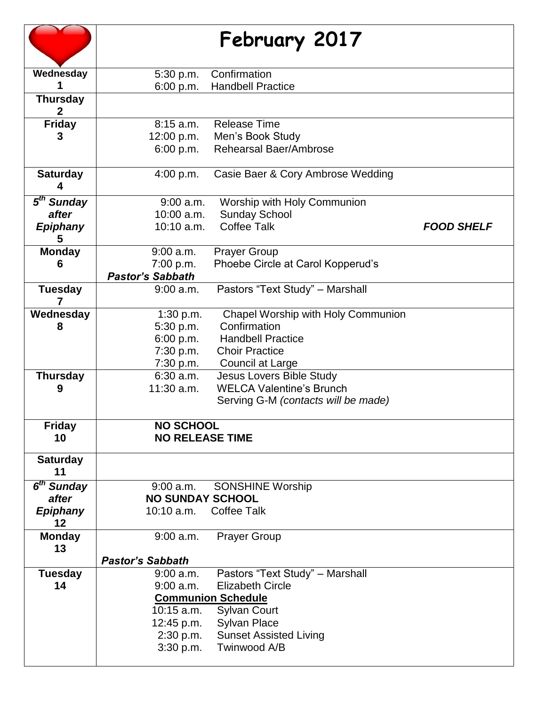|                                   |                         | February 2017                       |                   |
|-----------------------------------|-------------------------|-------------------------------------|-------------------|
| Wednesday                         | 5:30 p.m.               | Confirmation                        |                   |
|                                   | 6:00 p.m.               | <b>Handbell Practice</b>            |                   |
| <b>Thursday</b><br>$\overline{2}$ |                         |                                     |                   |
| <b>Friday</b>                     | 8:15a.m.                | <b>Release Time</b>                 |                   |
| 3                                 | 12:00 p.m.              | Men's Book Study                    |                   |
|                                   | 6:00 p.m.               | Rehearsal Baer/Ambrose              |                   |
| <b>Saturday</b><br>4              | 4:00 p.m.               | Casie Baer & Cory Ambrose Wedding   |                   |
| 5 <sup>th</sup> Sunday            | 9:00 a.m.               | Worship with Holy Communion         |                   |
| after                             | $10:00$ a.m.            | <b>Sunday School</b>                |                   |
| <b>Epiphany</b><br>5              | $10:10$ a.m.            | <b>Coffee Talk</b>                  | <b>FOOD SHELF</b> |
| <b>Monday</b>                     | $9:00$ a.m.             | <b>Prayer Group</b>                 |                   |
| 6                                 | 7:00 p.m.               | Phoebe Circle at Carol Kopperud's   |                   |
|                                   | <b>Pastor's Sabbath</b> |                                     |                   |
| <b>Tuesday</b>                    | 9:00 a.m.               | Pastors "Text Study" - Marshall     |                   |
| Wednesday                         | 1:30 p.m.               | Chapel Worship with Holy Communion  |                   |
| 8                                 | 5:30 p.m.               | Confirmation                        |                   |
|                                   | 6:00 p.m.               | <b>Handbell Practice</b>            |                   |
|                                   | 7:30 p.m.               | <b>Choir Practice</b>               |                   |
|                                   | 7:30 p.m.               | Council at Large                    |                   |
| <b>Thursday</b>                   | 6:30 a.m.               | <b>Jesus Lovers Bible Study</b>     |                   |
| 9                                 | $11:30$ a.m.            | <b>WELCA Valentine's Brunch</b>     |                   |
|                                   |                         | Serving G-M (contacts will be made) |                   |
| <b>Friday</b>                     | <b>NO SCHOOL</b>        |                                     |                   |
| 10                                | <b>NO RELEASE TIME</b>  |                                     |                   |
|                                   |                         |                                     |                   |
| <b>Saturday</b><br>11             |                         |                                     |                   |
| 6 <sup>th</sup> Sunday            | $9:00$ a.m.             | <b>SONSHINE Worship</b>             |                   |
| after                             | <b>NO SUNDAY SCHOOL</b> |                                     |                   |
| <b>Epiphany</b><br>12             | 10:10 a.m.              | <b>Coffee Talk</b>                  |                   |
| <b>Monday</b>                     | $9:00$ a.m.             | <b>Prayer Group</b>                 |                   |
| 13                                |                         |                                     |                   |
|                                   | <b>Pastor's Sabbath</b> |                                     |                   |
| <b>Tuesday</b>                    | 9:00 a.m.               | Pastors "Text Study" - Marshall     |                   |
| 14                                | $9:00$ a.m.             | <b>Elizabeth Circle</b>             |                   |
|                                   |                         | <b>Communion Schedule</b>           |                   |
|                                   | $10:15$ a.m.            | <b>Sylvan Court</b>                 |                   |
|                                   | 12:45 p.m.              | <b>Sylvan Place</b>                 |                   |
|                                   | 2:30 p.m.               | <b>Sunset Assisted Living</b>       |                   |
|                                   | 3:30 p.m.               | Twinwood A/B                        |                   |
|                                   |                         |                                     |                   |